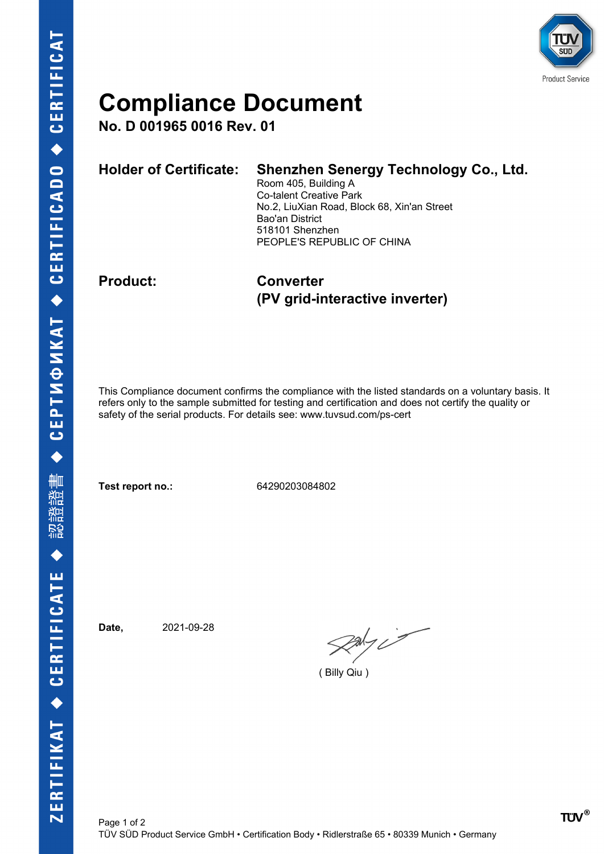

## **Compliance Document**

**No. D 001965 0016 Rev. 01**

| 518101 Shenzhen            |  |
|----------------------------|--|
| PEOPLE'S REPUBLIC OF CHINA |  |

**Product: Converter (PV grid-interactive inverter)**

This Compliance document confirms the compliance with the listed standards on a voluntary basis. It refers only to the sample submitted for testing and certification and does not certify the quality or safety of the serial products. For details see: www.tuvsud.com/ps-cert

**Test report no.:** 64290203084802

**Date,** 2021-09-28

 $\mathcal{R}$ aky is

( Billy Qiu )